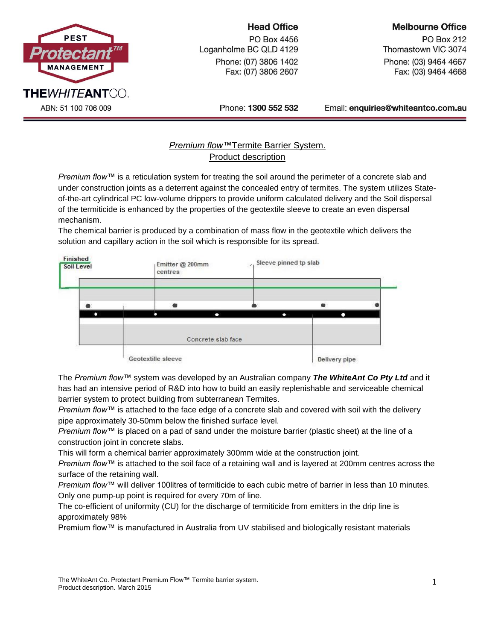

## **Head Office**

PO Box 4456 Loganholme BC QLD 4129 Phone: (07) 3806 1402 Fax: (07) 3806 2607

# **Melbourne Office**

**PO Box 212** Thomastown VIC 3074 Phone: (03) 9464 4667 Fax: (03) 9464 4668

Phone: 1300 552 532

Email: enquiries@whiteantco.com.au

# *Premium flow™*Termite Barrier System. Product description

*Premium flow™* is a reticulation system for treating the soil around the perimeter of a concrete slab and under construction joints as a deterrent against the concealed entry of termites. The system utilizes Stateof-the-art cylindrical PC low-volume drippers to provide uniform calculated delivery and the Soil dispersal of the termiticide is enhanced by the properties of the geotextile sleeve to create an even dispersal mechanism.

The chemical barrier is produced by a combination of mass flow in the geotextile which delivers the solution and capillary action in the soil which is responsible for its spread.



The *Premium flow™* system was developed by an Australian company *The WhiteAnt Co Pty Ltd* and it has had an intensive period of R&D into how to build an easily replenishable and serviceable chemical barrier system to protect building from subterranean Termites.

*Premium flow™* is attached to the face edge of a concrete slab and covered with soil with the delivery pipe approximately 30-50mm below the finished surface level.

*Premium flow™* is placed on a pad of sand under the moisture barrier (plastic sheet) at the line of a construction joint in concrete slabs.

This will form a chemical barrier approximately 300mm wide at the construction joint.

*Premium flow™* is attached to the soil face of a retaining wall and is layered at 200mm centres across the surface of the retaining wall.

*Premium flow*™ will deliver 100litres of termiticide to each cubic metre of barrier in less than 10 minutes. Only one pump-up point is required for every 70m of line.

The co-efficient of uniformity (CU) for the discharge of termiticide from emitters in the drip line is approximately 98%

Premium flow™ is manufactured in Australia from UV stabilised and biologically resistant materials